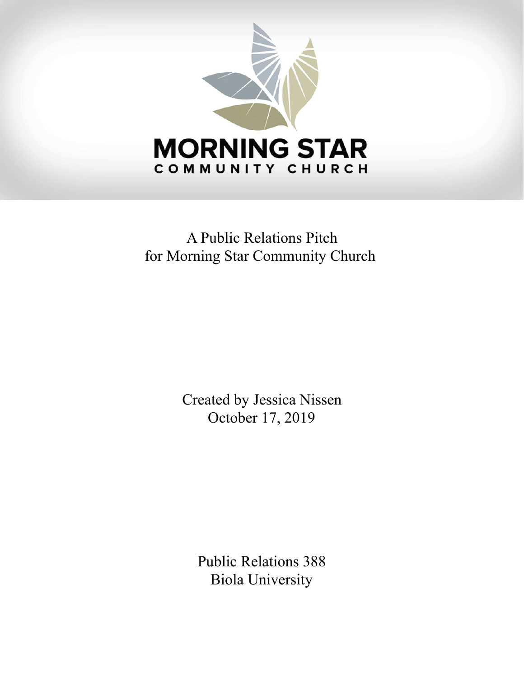

# A Public Relations Pitch for Morning Star Community Church

Created by Jessica Nissen October 17, 2019

Public Relations 388 Biola University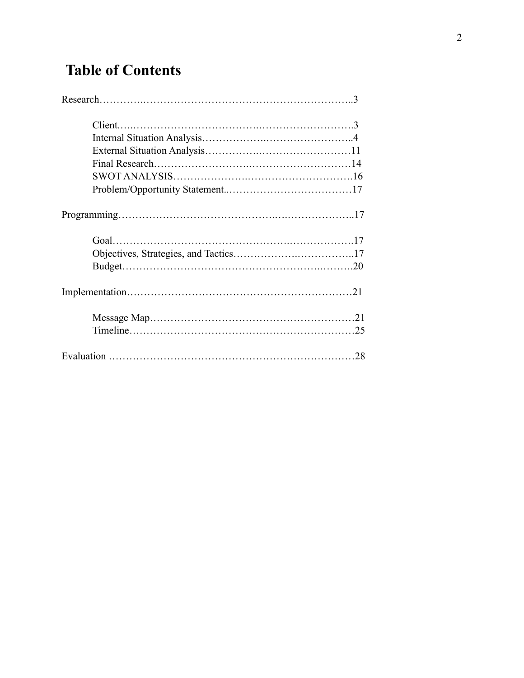# **Table of Contents**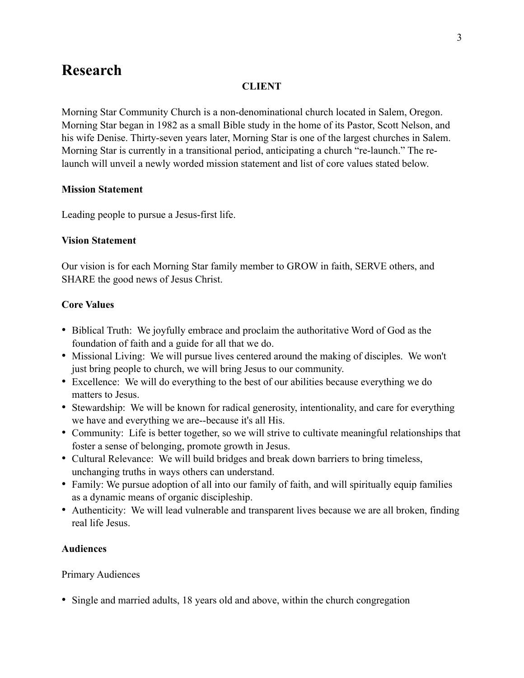### **Research**

#### **CLIENT**

Morning Star Community Church is a non-denominational church located in Salem, Oregon. Morning Star began in 1982 as a small Bible study in the home of its Pastor, Scott Nelson, and his wife Denise. Thirty-seven years later, Morning Star is one of the largest churches in Salem. Morning Star is currently in a transitional period, anticipating a church "re-launch." The relaunch will unveil a newly worded mission statement and list of core values stated below.

#### **Mission Statement**

Leading people to pursue a Jesus-first life.

#### **Vision Statement**

Our vision is for each Morning Star family member to GROW in faith, SERVE others, and SHARE the good news of Jesus Christ.

#### **Core Values**

- Biblical Truth: We joyfully embrace and proclaim the authoritative Word of God as the foundation of faith and a guide for all that we do.
- Missional Living: We will pursue lives centered around the making of disciples. We won't just bring people to church, we will bring Jesus to our community.
- Excellence: We will do everything to the best of our abilities because everything we do matters to Jesus.
- Stewardship: We will be known for radical generosity, intentionality, and care for everything we have and everything we are--because it's all His.
- Community: Life is better together, so we will strive to cultivate meaningful relationships that foster a sense of belonging, promote growth in Jesus.
- Cultural Relevance: We will build bridges and break down barriers to bring timeless, unchanging truths in ways others can understand.
- Family: We pursue adoption of all into our family of faith, and will spiritually equip families as a dynamic means of organic discipleship.
- Authenticity: We will lead vulnerable and transparent lives because we are all broken, finding real life Jesus.

#### **Audiences**

#### Primary Audiences

• Single and married adults, 18 years old and above, within the church congregation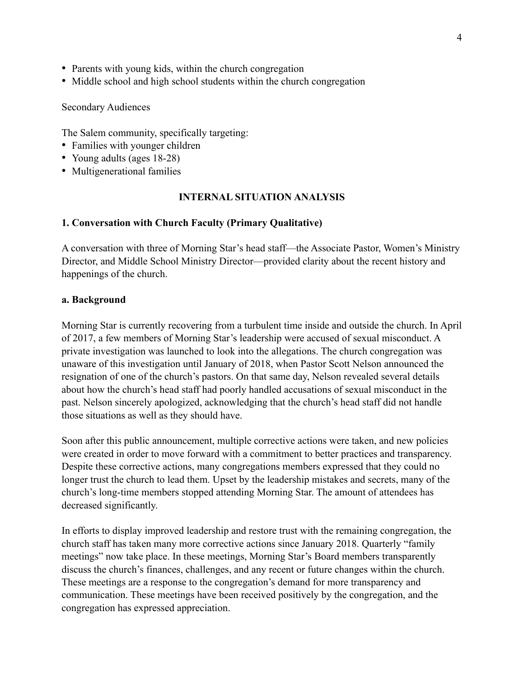- Parents with young kids, within the church congregation
- Middle school and high school students within the church congregation

Secondary Audiences

The Salem community, specifically targeting:

- Families with younger children
- Young adults (ages 18-28)
- Multigenerational families

#### **INTERNAL SITUATION ANALYSIS**

#### **1. Conversation with Church Faculty (Primary Qualitative)**

A conversation with three of Morning Star's head staff—the Associate Pastor, Women's Ministry Director, and Middle School Ministry Director—provided clarity about the recent history and happenings of the church.

#### **a. Background**

Morning Star is currently recovering from a turbulent time inside and outside the church. In April of 2017, a few members of Morning Star's leadership were accused of sexual misconduct. A private investigation was launched to look into the allegations. The church congregation was unaware of this investigation until January of 2018, when Pastor Scott Nelson announced the resignation of one of the church's pastors. On that same day, Nelson revealed several details about how the church's head staff had poorly handled accusations of sexual misconduct in the past. Nelson sincerely apologized, acknowledging that the church's head staff did not handle those situations as well as they should have.

Soon after this public announcement, multiple corrective actions were taken, and new policies were created in order to move forward with a commitment to better practices and transparency. Despite these corrective actions, many congregations members expressed that they could no longer trust the church to lead them. Upset by the leadership mistakes and secrets, many of the church's long-time members stopped attending Morning Star. The amount of attendees has decreased significantly.

In efforts to display improved leadership and restore trust with the remaining congregation, the church staff has taken many more corrective actions since January 2018. Quarterly "family meetings" now take place. In these meetings, Morning Star's Board members transparently discuss the church's finances, challenges, and any recent or future changes within the church. These meetings are a response to the congregation's demand for more transparency and communication. These meetings have been received positively by the congregation, and the congregation has expressed appreciation.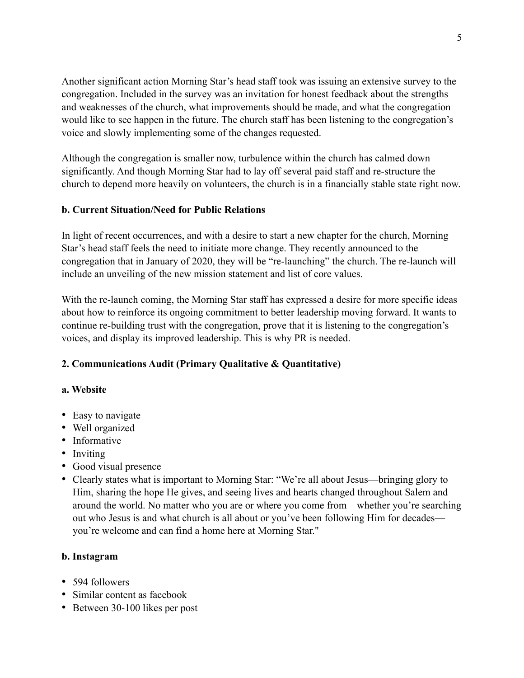Another significant action Morning Star's head staff took was issuing an extensive survey to the congregation. Included in the survey was an invitation for honest feedback about the strengths and weaknesses of the church, what improvements should be made, and what the congregation would like to see happen in the future. The church staff has been listening to the congregation's voice and slowly implementing some of the changes requested.

Although the congregation is smaller now, turbulence within the church has calmed down significantly. And though Morning Star had to lay off several paid staff and re-structure the church to depend more heavily on volunteers, the church is in a financially stable state right now.

#### **b. Current Situation/Need for Public Relations**

In light of recent occurrences, and with a desire to start a new chapter for the church, Morning Star's head staff feels the need to initiate more change. They recently announced to the congregation that in January of 2020, they will be "re-launching" the church. The re-launch will include an unveiling of the new mission statement and list of core values.

With the re-launch coming, the Morning Star staff has expressed a desire for more specific ideas about how to reinforce its ongoing commitment to better leadership moving forward. It wants to continue re-building trust with the congregation, prove that it is listening to the congregation's voices, and display its improved leadership. This is why PR is needed.

#### **2. Communications Audit (Primary Qualitative & Quantitative)**

#### **a. Website**

- Easy to navigate
- Well organized
- Informative
- Inviting
- Good visual presence
- Clearly states what is important to Morning Star: "We're all about Jesus—bringing glory to Him, sharing the hope He gives, and seeing lives and hearts changed throughout Salem and around the world. No matter who you are or where you come from—whether you're searching out who Jesus is and what church is all about or you've been following Him for decades you're welcome and can find a home here at Morning Star."

#### **b. Instagram**

- 594 followers
- Similar content as facebook
- Between 30-100 likes per post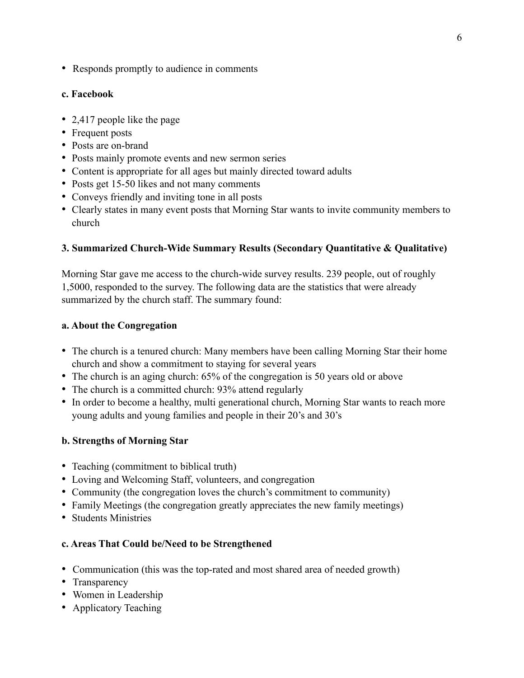• Responds promptly to audience in comments

#### **c. Facebook**

- 2,417 people like the page
- Frequent posts
- Posts are on-brand
- Posts mainly promote events and new sermon series
- Content is appropriate for all ages but mainly directed toward adults
- Posts get 15-50 likes and not many comments
- Conveys friendly and inviting tone in all posts
- Clearly states in many event posts that Morning Star wants to invite community members to church

#### **3. Summarized Church-Wide Summary Results (Secondary Quantitative & Qualitative)**

Morning Star gave me access to the church-wide survey results. 239 people, out of roughly 1,5000, responded to the survey. The following data are the statistics that were already summarized by the church staff. The summary found:

#### **a. About the Congregation**

- The church is a tenured church: Many members have been calling Morning Star their home church and show a commitment to staying for several years
- The church is an aging church: 65% of the congregation is 50 years old or above
- The church is a committed church: 93% attend regularly
- In order to become a healthy, multi generational church, Morning Star wants to reach more young adults and young families and people in their 20's and 30's

#### **b. Strengths of Morning Star**

- Teaching (commitment to biblical truth)
- Loving and Welcoming Staff, volunteers, and congregation
- Community (the congregation loves the church's commitment to community)
- Family Meetings (the congregation greatly appreciates the new family meetings)
- Students Ministries

#### **c. Areas That Could be/Need to be Strengthened**

- Communication (this was the top-rated and most shared area of needed growth)
- Transparency
- Women in Leadership
- Applicatory Teaching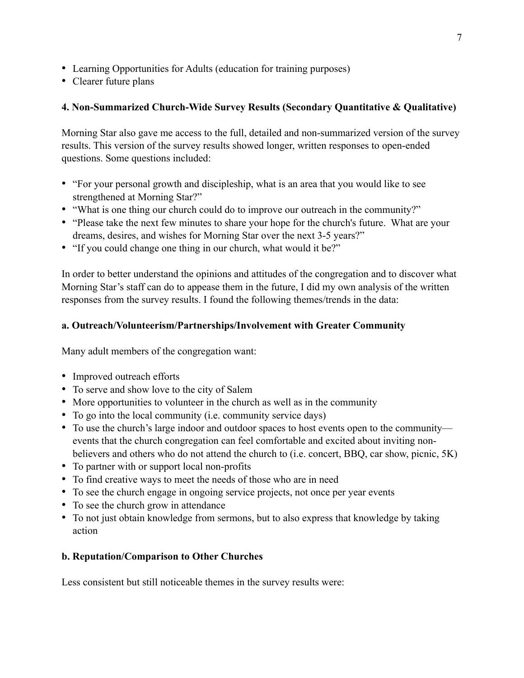- Learning Opportunities for Adults (education for training purposes)
- Clearer future plans

#### **4. Non-Summarized Church-Wide Survey Results (Secondary Quantitative & Qualitative)**

Morning Star also gave me access to the full, detailed and non-summarized version of the survey results. This version of the survey results showed longer, written responses to open-ended questions. Some questions included:

- "For your personal growth and discipleship, what is an area that you would like to see strengthened at Morning Star?"
- "What is one thing our church could do to improve our outreach in the community?"
- "Please take the next few minutes to share your hope for the church's future. What are your dreams, desires, and wishes for Morning Star over the next 3-5 years?"
- "If you could change one thing in our church, what would it be?"

In order to better understand the opinions and attitudes of the congregation and to discover what Morning Star's staff can do to appease them in the future, I did my own analysis of the written responses from the survey results. I found the following themes/trends in the data:

#### **a. Outreach/Volunteerism/Partnerships/Involvement with Greater Community**

Many adult members of the congregation want:

- Improved outreach efforts
- To serve and show love to the city of Salem
- More opportunities to volunteer in the church as well as in the community
- To go into the local community (i.e. community service days)
- To use the church's large indoor and outdoor spaces to host events open to the community events that the church congregation can feel comfortable and excited about inviting nonbelievers and others who do not attend the church to (i.e. concert, BBQ, car show, picnic, 5K)
- To partner with or support local non-profits
- To find creative ways to meet the needs of those who are in need
- To see the church engage in ongoing service projects, not once per year events
- To see the church grow in attendance
- To not just obtain knowledge from sermons, but to also express that knowledge by taking action

#### **b. Reputation/Comparison to Other Churches**

Less consistent but still noticeable themes in the survey results were: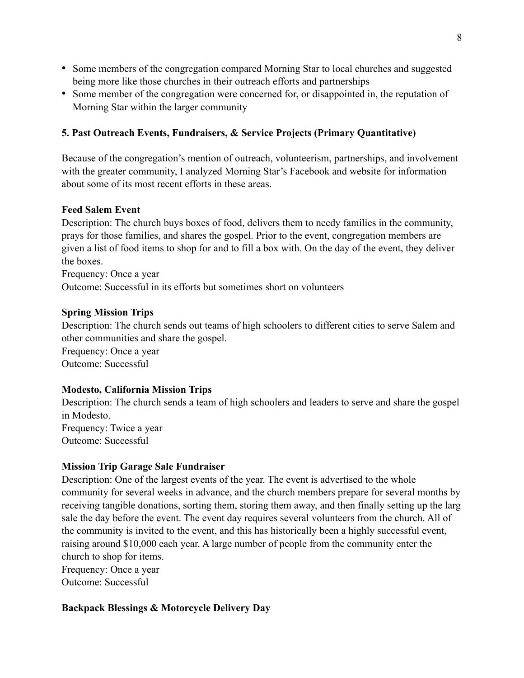- Some members of the congregation compared Morning Star to local churches and suggested being more like those churches in their outreach efforts and partnerships
- Some member of the congregation were concerned for, or disappointed in, the reputation of Morning Star within the larger community

#### **5. Past Outreach Events, Fundraisers, & Service Projects (Primary Quantitative)**

Because of the congregation's mention of outreach, volunteerism, partnerships, and involvement with the greater community, I analyzed Morning Star's Facebook and website for information about some of its most recent efforts in these areas.

#### **Feed Salem Event**

Description: The church buys boxes of food, delivers them to needy families in the community, prays for those families, and shares the gospel. Prior to the event, congregation members are given a list of food items to shop for and to fill a box with. On the day of the event, they deliver the boxes.

Frequency: Once a year

Outcome: Successful in its efforts but sometimes short on volunteers

#### **Spring Mission Trips**

Description: The church sends out teams of high schoolers to different cities to serve Salem and other communities and share the gospel.

Frequency: Once a year Outcome: Successful

#### **Modesto, California Mission Trips**

Description: The church sends a team of high schoolers and leaders to serve and share the gospel in Modesto. Frequency: Twice a year Outcome: Successful

#### **Mission Trip Garage Sale Fundraiser**

Description: One of the largest events of the year. The event is advertised to the whole community for several weeks in advance, and the church members prepare for several months by receiving tangible donations, sorting them, storing them away, and then finally setting up the larg sale the day before the event. The event day requires several volunteers from the church. All of the community is invited to the event, and this has historically been a highly successful event, raising around \$10,000 each year. A large number of people from the community enter the church to shop for items.

Frequency: Once a year Outcome: Successful

#### **Backpack Blessings & Motorcycle Delivery Day**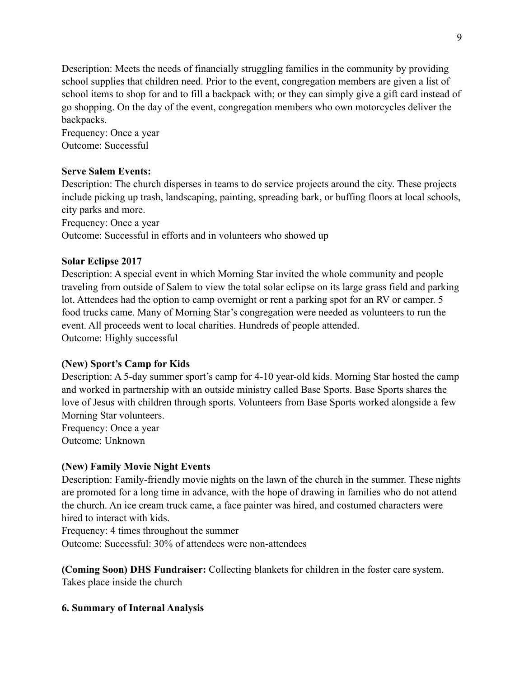Description: Meets the needs of financially struggling families in the community by providing school supplies that children need. Prior to the event, congregation members are given a list of school items to shop for and to fill a backpack with; or they can simply give a gift card instead of go shopping. On the day of the event, congregation members who own motorcycles deliver the backpacks.

Frequency: Once a year Outcome: Successful

#### **Serve Salem Events:**

Description: The church disperses in teams to do service projects around the city. These projects include picking up trash, landscaping, painting, spreading bark, or buffing floors at local schools, city parks and more.

Frequency: Once a year

Outcome: Successful in efforts and in volunteers who showed up

#### **Solar Eclipse 2017**

Description: A special event in which Morning Star invited the whole community and people traveling from outside of Salem to view the total solar eclipse on its large grass field and parking lot. Attendees had the option to camp overnight or rent a parking spot for an RV or camper. 5 food trucks came. Many of Morning Star's congregation were needed as volunteers to run the event. All proceeds went to local charities. Hundreds of people attended. Outcome: Highly successful

#### **(New) Sport's Camp for Kids**

Description: A 5-day summer sport's camp for 4-10 year-old kids. Morning Star hosted the camp and worked in partnership with an outside ministry called Base Sports. Base Sports shares the love of Jesus with children through sports. Volunteers from Base Sports worked alongside a few Morning Star volunteers.

Frequency: Once a year Outcome: Unknown

#### **(New) Family Movie Night Events**

Description: Family-friendly movie nights on the lawn of the church in the summer. These nights are promoted for a long time in advance, with the hope of drawing in families who do not attend the church. An ice cream truck came, a face painter was hired, and costumed characters were hired to interact with kids.

Frequency: 4 times throughout the summer

Outcome: Successful: 30% of attendees were non-attendees

**(Coming Soon) DHS Fundraiser:** Collecting blankets for children in the foster care system. Takes place inside the church

#### **6. Summary of Internal Analysis**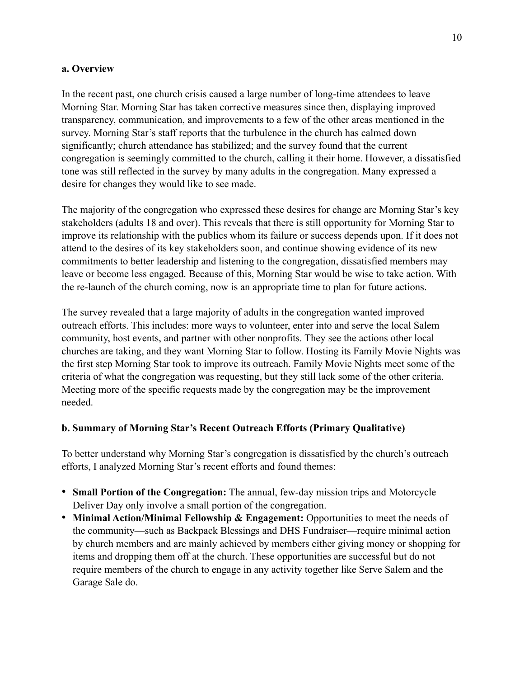#### **a. Overview**

In the recent past, one church crisis caused a large number of long-time attendees to leave Morning Star. Morning Star has taken corrective measures since then, displaying improved transparency, communication, and improvements to a few of the other areas mentioned in the survey. Morning Star's staff reports that the turbulence in the church has calmed down significantly; church attendance has stabilized; and the survey found that the current congregation is seemingly committed to the church, calling it their home. However, a dissatisfied tone was still reflected in the survey by many adults in the congregation. Many expressed a desire for changes they would like to see made.

The majority of the congregation who expressed these desires for change are Morning Star's key stakeholders (adults 18 and over). This reveals that there is still opportunity for Morning Star to improve its relationship with the publics whom its failure or success depends upon. If it does not attend to the desires of its key stakeholders soon, and continue showing evidence of its new commitments to better leadership and listening to the congregation, dissatisfied members may leave or become less engaged. Because of this, Morning Star would be wise to take action. With the re-launch of the church coming, now is an appropriate time to plan for future actions.

The survey revealed that a large majority of adults in the congregation wanted improved outreach efforts. This includes: more ways to volunteer, enter into and serve the local Salem community, host events, and partner with other nonprofits. They see the actions other local churches are taking, and they want Morning Star to follow. Hosting its Family Movie Nights was the first step Morning Star took to improve its outreach. Family Movie Nights meet some of the criteria of what the congregation was requesting, but they still lack some of the other criteria. Meeting more of the specific requests made by the congregation may be the improvement needed.

#### **b. Summary of Morning Star's Recent Outreach Efforts (Primary Qualitative)**

To better understand why Morning Star's congregation is dissatisfied by the church's outreach efforts, I analyzed Morning Star's recent efforts and found themes:

- **Small Portion of the Congregation:** The annual, few-day mission trips and Motorcycle Deliver Day only involve a small portion of the congregation.
- Minimal Action/Minimal Fellowship & Engagement: Opportunities to meet the needs of the community—such as Backpack Blessings and DHS Fundraiser—require minimal action by church members and are mainly achieved by members either giving money or shopping for items and dropping them off at the church. These opportunities are successful but do not require members of the church to engage in any activity together like Serve Salem and the Garage Sale do.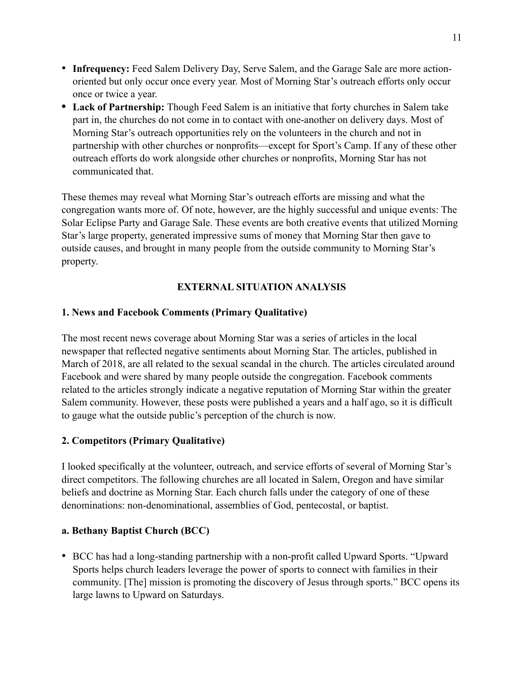- **Infrequency:** Feed Salem Delivery Day, Serve Salem, and the Garage Sale are more actionoriented but only occur once every year. Most of Morning Star's outreach efforts only occur once or twice a year.
- Lack of Partnership: Though Feed Salem is an initiative that forty churches in Salem take part in, the churches do not come in to contact with one-another on delivery days. Most of Morning Star's outreach opportunities rely on the volunteers in the church and not in partnership with other churches or nonprofits—except for Sport's Camp. If any of these other outreach efforts do work alongside other churches or nonprofits, Morning Star has not communicated that.

These themes may reveal what Morning Star's outreach efforts are missing and what the congregation wants more of. Of note, however, are the highly successful and unique events: The Solar Eclipse Party and Garage Sale. These events are both creative events that utilized Morning Star's large property, generated impressive sums of money that Morning Star then gave to outside causes, and brought in many people from the outside community to Morning Star's property.

#### **EXTERNAL SITUATION ANALYSIS**

#### **1. News and Facebook Comments (Primary Qualitative)**

The most recent news coverage about Morning Star was a series of articles in the local newspaper that reflected negative sentiments about Morning Star. The articles, published in March of 2018, are all related to the sexual scandal in the church. The articles circulated around Facebook and were shared by many people outside the congregation. Facebook comments related to the articles strongly indicate a negative reputation of Morning Star within the greater Salem community. However, these posts were published a years and a half ago, so it is difficult to gauge what the outside public's perception of the church is now.

#### **2. Competitors (Primary Qualitative)**

I looked specifically at the volunteer, outreach, and service efforts of several of Morning Star's direct competitors. The following churches are all located in Salem, Oregon and have similar beliefs and doctrine as Morning Star. Each church falls under the category of one of these denominations: non-denominational, assemblies of God, pentecostal, or baptist.

#### **a. Bethany Baptist Church (BCC)**

• BCC has had a long-standing partnership with a non-profit called Upward Sports. "Upward Sports helps church leaders leverage the power of sports to connect with families in their community. [The] mission is promoting the discovery of Jesus through sports." BCC opens its large lawns to Upward on Saturdays.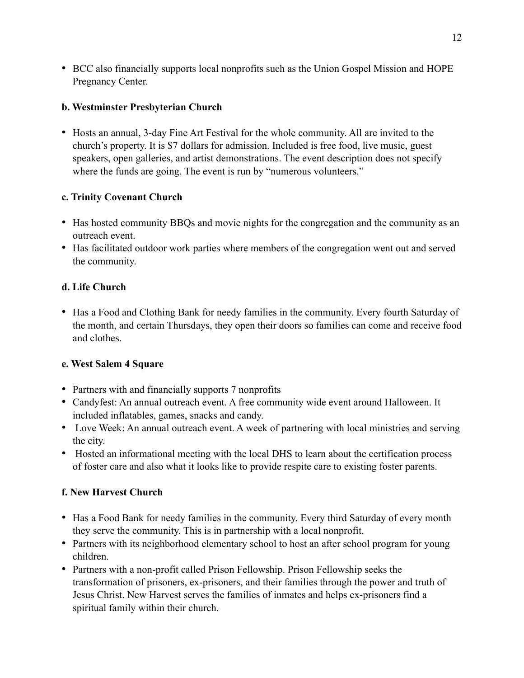• BCC also financially supports local nonprofits such as the Union Gospel Mission and HOPE Pregnancy Center.

#### **b. Westminster Presbyterian Church**

• Hosts an annual, 3-day Fine Art Festival for the whole community. All are invited to the church's property. It is \$7 dollars for admission. Included is free food, live music, guest speakers, open galleries, and artist demonstrations. The event description does not specify where the funds are going. The event is run by "numerous volunteers."

#### **c. Trinity Covenant Church**

- Has hosted community BBQs and movie nights for the congregation and the community as an outreach event.
- Has facilitated outdoor work parties where members of the congregation went out and served the community.

#### **d. Life Church**

• Has a Food and Clothing Bank for needy families in the community. Every fourth Saturday of the month, and certain Thursdays, they open their doors so families can come and receive food and clothes.

#### **e. West Salem 4 Square**

- Partners with and financially supports 7 nonprofits
- Candyfest: An annual outreach event. A free community wide event around Halloween. It included inflatables, games, snacks and candy.
- Love Week: An annual outreach event. A week of partnering with local ministries and serving the city.
- Hosted an informational meeting with the local DHS to learn about the certification process of foster care and also what it looks like to provide respite care to existing foster parents.

#### **f. New Harvest Church**

- Has a Food Bank for needy families in the community. Every third Saturday of every month they serve the community. This is in partnership with a local nonprofit.
- Partners with its neighborhood elementary school to host an after school program for young children.
- Partners with a non-profit called Prison Fellowship. Prison Fellowship seeks the transformation of prisoners, ex-prisoners, and their families through the power and truth of Jesus Christ. New Harvest serves the families of inmates and helps ex-prisoners find a spiritual family within their church.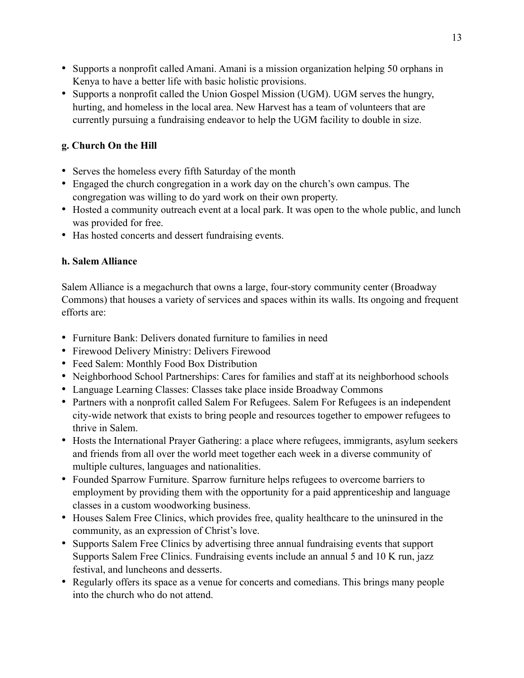- Supports a nonprofit called Amani. Amani is a mission organization helping 50 orphans in Kenya to have a better life with basic holistic provisions.
- Supports a nonprofit called the Union Gospel Mission (UGM). UGM serves the hungry, hurting, and homeless in the local area. New Harvest has a team of volunteers that are currently pursuing a fundraising endeavor to help the UGM facility to double in size.

### **g. Church On the Hill**

- Serves the homeless every fifth Saturday of the month
- Engaged the church congregation in a work day on the church's own campus. The congregation was willing to do yard work on their own property.
- Hosted a community outreach event at a local park. It was open to the whole public, and lunch was provided for free.
- Has hosted concerts and dessert fundraising events.

#### **h. Salem Alliance**

Salem Alliance is a megachurch that owns a large, four-story community center (Broadway Commons) that houses a variety of services and spaces within its walls. Its ongoing and frequent efforts are:

- Furniture Bank: Delivers donated furniture to families in need
- Firewood Delivery Ministry: Delivers Firewood
- Feed Salem: Monthly Food Box Distribution
- Neighborhood School Partnerships: Cares for families and staff at its neighborhood schools
- Language Learning Classes: Classes take place inside Broadway Commons
- Partners with a nonprofit called Salem For Refugees. Salem For Refugees is an independent city-wide network that exists to bring people and resources together to empower refugees to thrive in Salem.
- Hosts the International Prayer Gathering: a place where refugees, immigrants, asylum seekers and friends from all over the world meet together each week in a diverse community of multiple cultures, languages and nationalities.
- Founded Sparrow Furniture. Sparrow furniture helps refugees to overcome barriers to employment by providing them with the opportunity for a paid apprenticeship and language classes in a custom woodworking business.
- Houses Salem Free Clinics, which provides free, quality healthcare to the uninsured in the community, as an expression of Christ's love.
- Supports Salem Free Clinics by advertising three annual fundraising events that support Supports Salem Free Clinics. Fundraising events include an annual 5 and 10 K run, jazz festival, and luncheons and desserts.
- Regularly offers its space as a venue for concerts and comedians. This brings many people into the church who do not attend.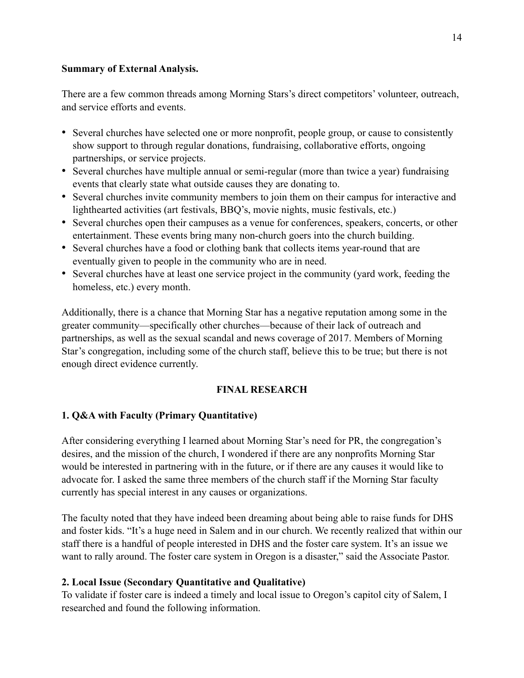#### **Summary of External Analysis.**

There are a few common threads among Morning Stars's direct competitors' volunteer, outreach, and service efforts and events.

- Several churches have selected one or more nonprofit, people group, or cause to consistently show support to through regular donations, fundraising, collaborative efforts, ongoing partnerships, or service projects.
- Several churches have multiple annual or semi-regular (more than twice a year) fundraising events that clearly state what outside causes they are donating to.
- Several churches invite community members to join them on their campus for interactive and lighthearted activities (art festivals, BBQ's, movie nights, music festivals, etc.)
- Several churches open their campuses as a venue for conferences, speakers, concerts, or other entertainment. These events bring many non-church goers into the church building.
- Several churches have a food or clothing bank that collects items year-round that are eventually given to people in the community who are in need.
- Several churches have at least one service project in the community (yard work, feeding the homeless, etc.) every month.

Additionally, there is a chance that Morning Star has a negative reputation among some in the greater community—specifically other churches—because of their lack of outreach and partnerships, as well as the sexual scandal and news coverage of 2017. Members of Morning Star's congregation, including some of the church staff, believe this to be true; but there is not enough direct evidence currently.

#### **FINAL RESEARCH**

#### **1. Q&A with Faculty (Primary Quantitative)**

After considering everything I learned about Morning Star's need for PR, the congregation's desires, and the mission of the church, I wondered if there are any nonprofits Morning Star would be interested in partnering with in the future, or if there are any causes it would like to advocate for. I asked the same three members of the church staff if the Morning Star faculty currently has special interest in any causes or organizations.

The faculty noted that they have indeed been dreaming about being able to raise funds for DHS and foster kids. "It's a huge need in Salem and in our church. We recently realized that within our staff there is a handful of people interested in DHS and the foster care system. It's an issue we want to rally around. The foster care system in Oregon is a disaster," said the Associate Pastor.

#### **2. Local Issue (Secondary Quantitative and Qualitative)**

To validate if foster care is indeed a timely and local issue to Oregon's capitol city of Salem, I researched and found the following information.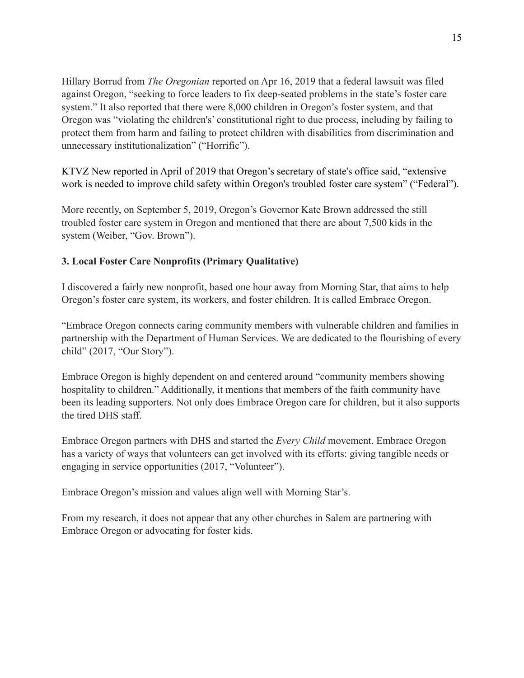Hillary Borrud from *The Oregonian* reported on Apr 16, 2019 that a federal lawsuit was filed against Oregon, "seeking to force leaders to fix deep-seated problems in the state's foster care system." It also reported that there were 8,000 children in Oregon's foster system, and that Oregon was "violating the children's' constitutional right to due process, including by failing to protect them from harm and failing to protect children with disabilities from discrimination and unnecessary institutionalization" ("Horrific").

KTVZ New reported in April of 2019 that Oregon's secretary of state's office said, "extensive work is needed to improve child safety within Oregon's troubled foster care system" ("Federal").

More recently, on September 5, 2019, Oregon's Governor Kate Brown addressed the still troubled foster care system in Oregon and mentioned that there are about 7,500 kids in the system (Weiber, "Gov. Brown").

#### **3. Local Foster Care Nonprofits (Primary Qualitative)**

I discovered a fairly new nonprofit, based one hour away from Morning Star, that aims to help Oregon's foster care system, its workers, and foster children. It is called Embrace Oregon.

"Embrace Oregon connects caring community members with vulnerable children and families in partnership with the Department of Human Services. We are dedicated to the flourishing of every child" (2017, "Our Story").

Embrace Oregon is highly dependent on and centered around "community members showing hospitality to children." Additionally, it mentions that members of the faith community have been its leading supporters. Not only does Embrace Oregon care for children, but it also supports the tired DHS staff.

Embrace Oregon partners with DHS and started the *Every Child* movement. Embrace Oregon has a variety of ways that volunteers can get involved with its efforts: giving tangible needs or engaging in service opportunities (2017, "Volunteer").

Embrace Oregon's mission and values align well with Morning Star's.

From my research, it does not appear that any other churches in Salem are partnering with Embrace Oregon or advocating for foster kids.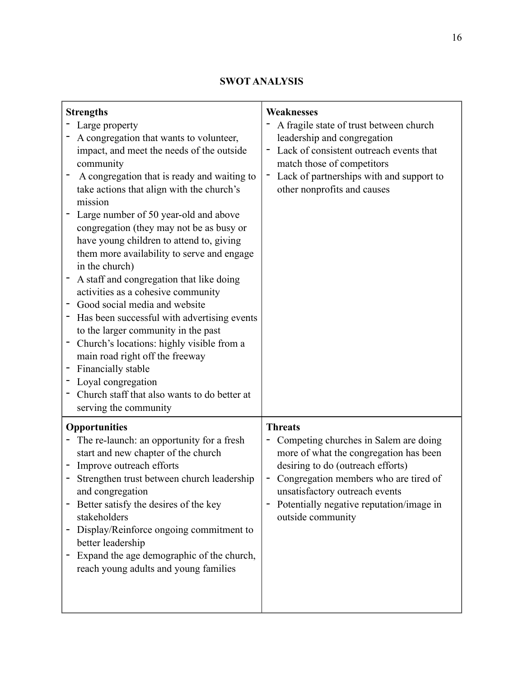#### **SWOT ANALYSIS**

| <b>Strengths</b><br>Large property<br>A congregation that wants to volunteer,<br>impact, and meet the needs of the outside<br>community<br>A congregation that is ready and waiting to<br>take actions that align with the church's<br>mission<br>Large number of 50 year-old and above<br>congregation (they may not be as busy or<br>have young children to attend to, giving<br>them more availability to serve and engage<br>in the church)<br>A staff and congregation that like doing<br>activities as a cohesive community<br>Good social media and website<br>Has been successful with advertising events<br>to the larger community in the past<br>Church's locations: highly visible from a<br>main road right off the freeway<br>Financially stable<br>Loyal congregation<br>Church staff that also wants to do better at<br>serving the community | Weaknesses<br>A fragile state of trust between church<br>leadership and congregation<br>Lack of consistent outreach events that<br>match those of competitors<br>Lack of partnerships with and support to<br>other nonprofits and causes                                           |
|---------------------------------------------------------------------------------------------------------------------------------------------------------------------------------------------------------------------------------------------------------------------------------------------------------------------------------------------------------------------------------------------------------------------------------------------------------------------------------------------------------------------------------------------------------------------------------------------------------------------------------------------------------------------------------------------------------------------------------------------------------------------------------------------------------------------------------------------------------------|------------------------------------------------------------------------------------------------------------------------------------------------------------------------------------------------------------------------------------------------------------------------------------|
| <b>Opportunities</b><br>The re-launch: an opportunity for a fresh<br>start and new chapter of the church<br>Improve outreach efforts<br>Strengthen trust between church leadership<br>and congregation<br>Better satisfy the desires of the key<br>stakeholders<br>Display/Reinforce ongoing commitment to<br>better leadership<br>Expand the age demographic of the church,<br>reach young adults and young families                                                                                                                                                                                                                                                                                                                                                                                                                                         | <b>Threats</b><br>Competing churches in Salem are doing<br>more of what the congregation has been<br>desiring to do (outreach efforts)<br>Congregation members who are tired of<br>unsatisfactory outreach events<br>Potentially negative reputation/image in<br>outside community |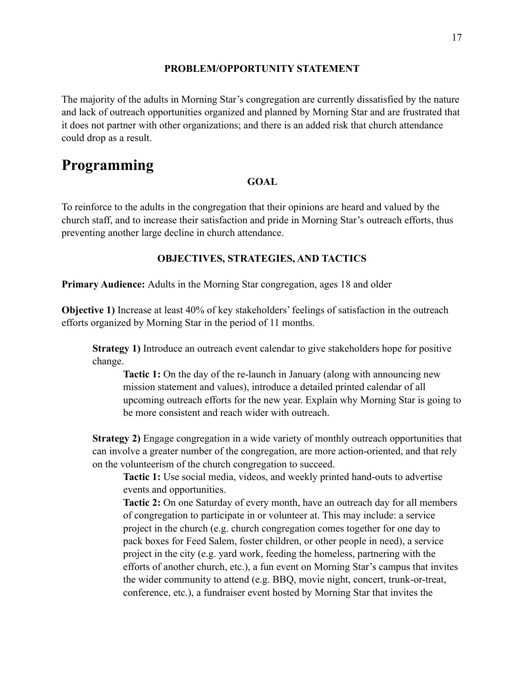#### **PROBLEM/OPPORTUNITY STATEMENT**

The majority of the adults in Morning Star's congregation are currently dissatisfied by the nature and lack of outreach opportunities organized and planned by Morning Star and are frustrated that it does not partner with other organizations; and there is an added risk that church attendance could drop as a result.

## **Programming**

#### **GOAL**

To reinforce to the adults in the congregation that their opinions are heard and valued by the church staff, and to increase their satisfaction and pride in Morning Star's outreach efforts, thus preventing another large decline in church attendance.

#### **OBJECTIVES, STRATEGIES, AND TACTICS**

**Primary Audience:** Adults in the Morning Star congregation, ages 18 and older

**Objective 1)** Increase at least 40% of key stakeholders' feelings of satisfaction in the outreach efforts organized by Morning Star in the period of 11 months.

**Strategy 1)** Introduce an outreach event calendar to give stakeholders hope for positive change.

**Tactic 1:** On the day of the re-launch in January (along with announcing new mission statement and values), introduce a detailed printed calendar of all upcoming outreach efforts for the new year. Explain why Morning Star is going to be more consistent and reach wider with outreach.

**Strategy 2)** Engage congregation in a wide variety of monthly outreach opportunities that can involve a greater number of the congregation, are more action-oriented, and that rely on the volunteerism of the church congregation to succeed.

**Tactic 1:** Use social media, videos, and weekly printed hand-outs to advertise events and opportunities.

**Tactic 2:** On one Saturday of every month, have an outreach day for all members of congregation to participate in or volunteer at. This may include: a service project in the church (e.g. church congregation comes together for one day to pack boxes for Feed Salem, foster children, or other people in need), a service project in the city (e.g. yard work, feeding the homeless, partnering with the efforts of another church, etc.), a fun event on Morning Star's campus that invites the wider community to attend (e.g. BBQ, movie night, concert, trunk-or-treat, conference, etc.), a fundraiser event hosted by Morning Star that invites the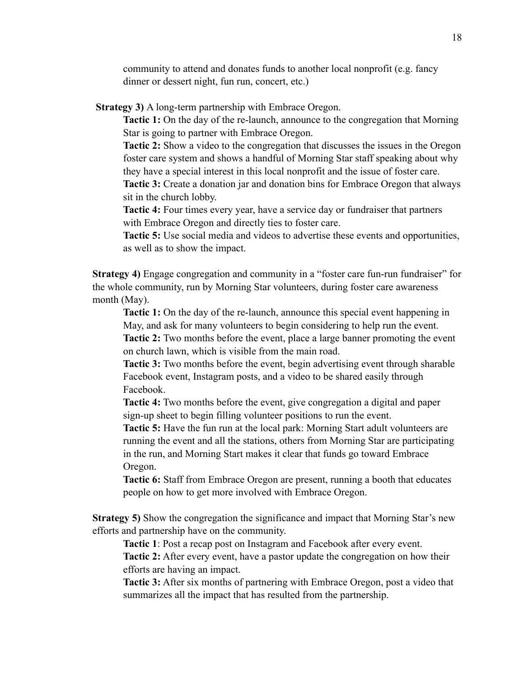community to attend and donates funds to another local nonprofit (e.g. fancy dinner or dessert night, fun run, concert, etc.)

**Strategy 3)** A long-term partnership with Embrace Oregon.

**Tactic 1:** On the day of the re-launch, announce to the congregation that Morning Star is going to partner with Embrace Oregon.

**Tactic 2:** Show a video to the congregation that discusses the issues in the Oregon foster care system and shows a handful of Morning Star staff speaking about why they have a special interest in this local nonprofit and the issue of foster care.

**Tactic 3:** Create a donation jar and donation bins for Embrace Oregon that always sit in the church lobby.

**Tactic 4:** Four times every year, have a service day or fundraiser that partners with Embrace Oregon and directly ties to foster care.

**Tactic 5:** Use social media and videos to advertise these events and opportunities, as well as to show the impact.

**Strategy 4)** Engage congregation and community in a "foster care fun-run fundraiser" for the whole community, run by Morning Star volunteers, during foster care awareness month (May).

**Tactic 1:** On the day of the re-launch, announce this special event happening in May, and ask for many volunteers to begin considering to help run the event. **Tactic 2:** Two months before the event, place a large banner promoting the event on church lawn, which is visible from the main road.

**Tactic 3:** Two months before the event, begin advertising event through sharable Facebook event, Instagram posts, and a video to be shared easily through Facebook.

**Tactic 4:** Two months before the event, give congregation a digital and paper sign-up sheet to begin filling volunteer positions to run the event.

**Tactic 5:** Have the fun run at the local park: Morning Start adult volunteers are running the event and all the stations, others from Morning Star are participating in the run, and Morning Start makes it clear that funds go toward Embrace Oregon.

**Tactic 6:** Staff from Embrace Oregon are present, running a booth that educates people on how to get more involved with Embrace Oregon.

**Strategy 5)** Show the congregation the significance and impact that Morning Star's new efforts and partnership have on the community.

**Tactic 1**: Post a recap post on Instagram and Facebook after every event. **Tactic 2:** After every event, have a pastor update the congregation on how their

efforts are having an impact.

**Tactic 3:** After six months of partnering with Embrace Oregon, post a video that summarizes all the impact that has resulted from the partnership.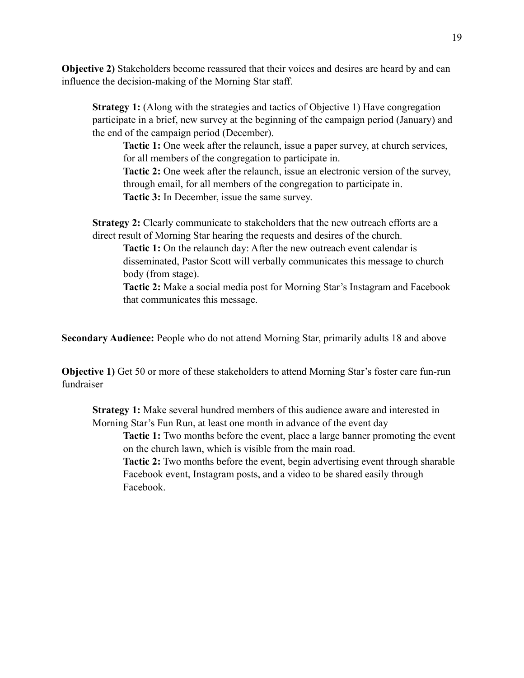**Objective 2)** Stakeholders become reassured that their voices and desires are heard by and can influence the decision-making of the Morning Star staff.

**Strategy 1:** (Along with the strategies and tactics of Objective 1) Have congregation participate in a brief, new survey at the beginning of the campaign period (January) and the end of the campaign period (December).

**Tactic 1:** One week after the relaunch, issue a paper survey, at church services, for all members of the congregation to participate in.

**Tactic 2:** One week after the relaunch, issue an electronic version of the survey, through email, for all members of the congregation to participate in. **Tactic 3:** In December, issue the same survey.

**Strategy 2:** Clearly communicate to stakeholders that the new outreach efforts are a direct result of Morning Star hearing the requests and desires of the church.

**Tactic 1:** On the relaunch day: After the new outreach event calendar is disseminated, Pastor Scott will verbally communicates this message to church body (from stage).

**Tactic 2:** Make a social media post for Morning Star's Instagram and Facebook that communicates this message.

**Secondary Audience:** People who do not attend Morning Star, primarily adults 18 and above

**Objective 1)** Get 50 or more of these stakeholders to attend Morning Star's foster care fun-run fundraiser

**Strategy 1:** Make several hundred members of this audience aware and interested in Morning Star's Fun Run, at least one month in advance of the event day

**Tactic 1:** Two months before the event, place a large banner promoting the event on the church lawn, which is visible from the main road.

**Tactic 2:** Two months before the event, begin advertising event through sharable Facebook event, Instagram posts, and a video to be shared easily through Facebook.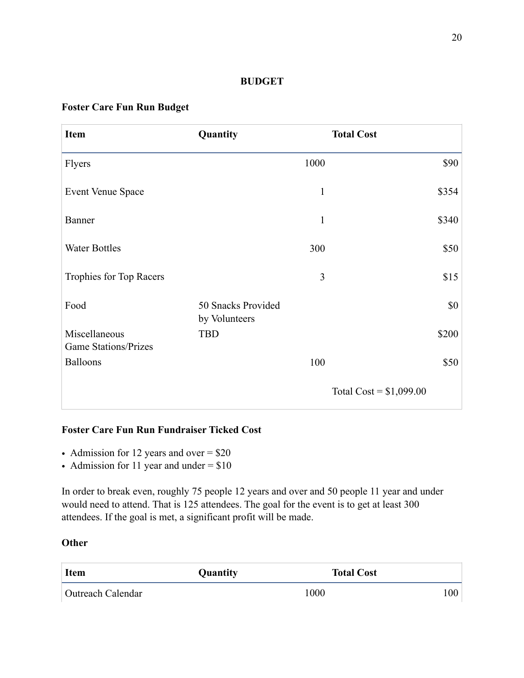#### **BUDGET**

#### **Foster Care Fun Run Budget**

| <b>Item</b>                                    | Quantity                            | <b>Total Cost</b>        |       |
|------------------------------------------------|-------------------------------------|--------------------------|-------|
| <b>Flyers</b>                                  | 1000                                |                          | \$90  |
| Event Venue Space                              |                                     | $\mathbf{1}$             | \$354 |
| Banner                                         |                                     | $\mathbf{1}$             | \$340 |
| <b>Water Bottles</b>                           | 300                                 |                          | \$50  |
| Trophies for Top Racers                        |                                     | 3                        | \$15  |
| Food                                           | 50 Snacks Provided<br>by Volunteers |                          | \$0   |
| Miscellaneous                                  | <b>TBD</b>                          |                          | \$200 |
| <b>Game Stations/Prizes</b><br><b>Balloons</b> | 100                                 |                          | \$50  |
|                                                |                                     | Total Cost = $$1,099.00$ |       |

#### **Foster Care Fun Run Fundraiser Ticked Cost**

- Admission for 12 years and over = \$20
- Admission for 11 year and under  $= $10$

In order to break even, roughly 75 people 12 years and over and 50 people 11 year and under would need to attend. That is 125 attendees. The goal for the event is to get at least 300 attendees. If the goal is met, a significant profit will be made.

#### **Other**

| <b>Item</b>              | Quantity | <b>Total Cost</b> |     |
|--------------------------|----------|-------------------|-----|
| <b>Outreach Calendar</b> |          | 1000              | 100 |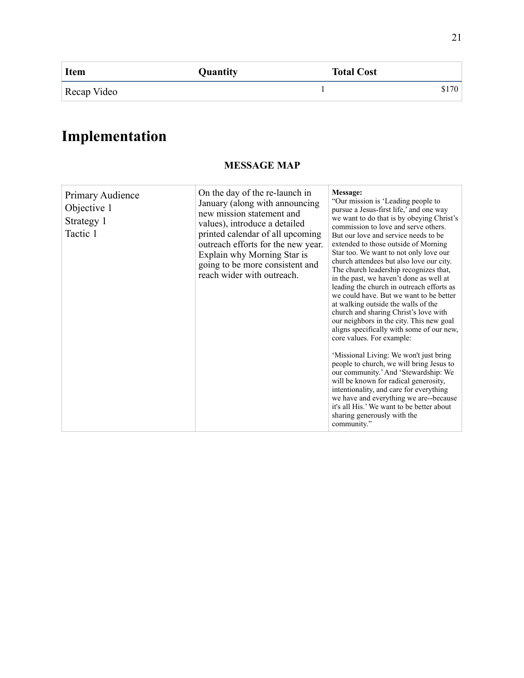| <b>Item</b> | Quantity | <b>Total Cost</b> |       |
|-------------|----------|-------------------|-------|
| Recap Video |          |                   | \$170 |

### **Implementation**

#### Primary Audience Objective 1 Strategy 1 Tactic 1 On the day of the re-launch in January (along with announcing new mission statement and values), introduce a detailed printed calendar of all upcoming outreach efforts for the new year. Explain why Morning Star is going to be more consistent and reach wider with outreach. **Message:**  "Our mission is 'Leading people to pursue a Jesus-first life,' and one way we want to do that is by obeying Christ's commission to love and serve others. But our love and service needs to be extended to those outside of Morning Star too. We want to not only love our church attendees but also love our city. The church leadership recognizes that, in the past, we haven't done as well at leading the church in outreach efforts as we could have. But we want to be better at walking outside the walls of the church and sharing Christ's love with our neighbors in the city. This new goal aligns specifically with some of our new, core values. For example: 'Missional Living: We won't just bring people to church, we will bring Jesus to our community.' And 'Stewardship: We will be known for radical generosity, intentionality, and care for everything we have and everything we are--because it's all His.' We want to be better about sharing generously with the community."

#### **MESSAGE MAP**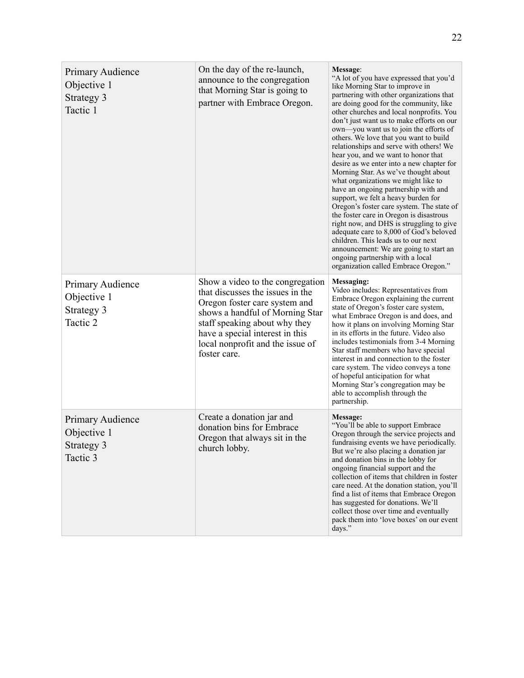| Primary Audience<br>Objective 1<br>Strategy 3<br>Tactic 1 | On the day of the re-launch,<br>announce to the congregation<br>that Morning Star is going to<br>partner with Embrace Oregon.                                                                                                                                    | Message:<br>"A lot of you have expressed that you'd<br>like Morning Star to improve in<br>partnering with other organizations that<br>are doing good for the community, like<br>other churches and local nonprofits. You<br>don't just want us to make efforts on our<br>own—you want us to join the efforts of<br>others. We love that you want to build<br>relationships and serve with others! We<br>hear you, and we want to honor that<br>desire as we enter into a new chapter for<br>Morning Star. As we've thought about<br>what organizations we might like to<br>have an ongoing partnership with and<br>support, we felt a heavy burden for<br>Oregon's foster care system. The state of<br>the foster care in Oregon is disastrous<br>right now, and DHS is struggling to give<br>adequate care to 8,000 of God's beloved<br>children. This leads us to our next<br>announcement: We are going to start an<br>ongoing partnership with a local<br>organization called Embrace Oregon." |
|-----------------------------------------------------------|------------------------------------------------------------------------------------------------------------------------------------------------------------------------------------------------------------------------------------------------------------------|----------------------------------------------------------------------------------------------------------------------------------------------------------------------------------------------------------------------------------------------------------------------------------------------------------------------------------------------------------------------------------------------------------------------------------------------------------------------------------------------------------------------------------------------------------------------------------------------------------------------------------------------------------------------------------------------------------------------------------------------------------------------------------------------------------------------------------------------------------------------------------------------------------------------------------------------------------------------------------------------------|
| Primary Audience<br>Objective 1<br>Strategy 3<br>Tactic 2 | Show a video to the congregation<br>that discusses the issues in the<br>Oregon foster care system and<br>shows a handful of Morning Star<br>staff speaking about why they<br>have a special interest in this<br>local nonprofit and the issue of<br>foster care. | Messaging:<br>Video includes: Representatives from<br>Embrace Oregon explaining the current<br>state of Oregon's foster care system,<br>what Embrace Oregon is and does, and<br>how it plans on involving Morning Star<br>in its efforts in the future. Video also<br>includes testimonials from 3-4 Morning<br>Star staff members who have special<br>interest in and connection to the foster<br>care system. The video conveys a tone<br>of hopeful anticipation for what<br>Morning Star's congregation may be<br>able to accomplish through the<br>partnership.                                                                                                                                                                                                                                                                                                                                                                                                                               |
| Primary Audience<br>Objective 1<br>Strategy 3<br>Tactic 3 | Create a donation jar and<br>donation bins for Embrace<br>Oregon that always sit in the<br>church lobby.                                                                                                                                                         | Message:<br>"You'll be able to support Embrace<br>Oregon through the service projects and<br>fundraising events we have periodically.<br>But we're also placing a donation jar<br>and donation bins in the lobby for<br>ongoing financial support and the<br>collection of items that children in foster<br>care need. At the donation station, you'll<br>find a list of items that Embrace Oregon<br>has suggested for donations. We'll<br>collect those over time and eventually<br>pack them into 'love boxes' on our event<br>days."                                                                                                                                                                                                                                                                                                                                                                                                                                                           |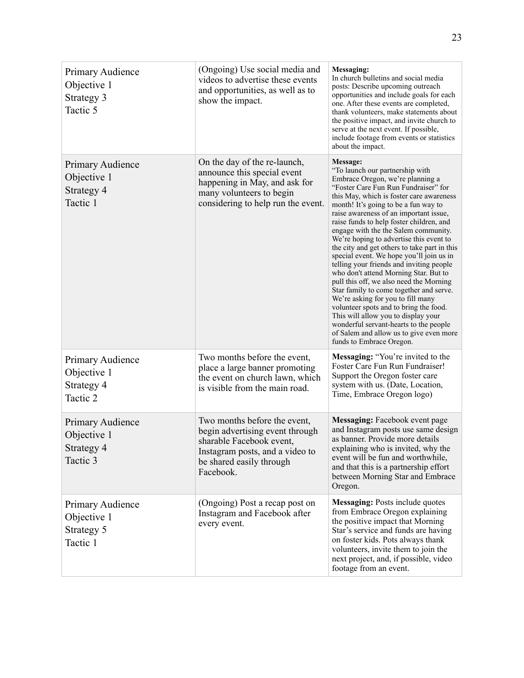| Primary Audience<br>Objective 1<br>Strategy 3<br>Tactic 5 | (Ongoing) Use social media and<br>videos to advertise these events<br>and opportunities, as well as to<br>show the impact.                                              | Messaging:<br>In church bulletins and social media<br>posts: Describe upcoming outreach<br>opportunities and include goals for each<br>one. After these events are completed,<br>thank volunteers, make statements about<br>the positive impact, and invite church to<br>serve at the next event. If possible,<br>include footage from events or statistics<br>about the impact.                                                                                                                                                                                                                                                                                                                                                                                                                                                                                                                   |
|-----------------------------------------------------------|-------------------------------------------------------------------------------------------------------------------------------------------------------------------------|----------------------------------------------------------------------------------------------------------------------------------------------------------------------------------------------------------------------------------------------------------------------------------------------------------------------------------------------------------------------------------------------------------------------------------------------------------------------------------------------------------------------------------------------------------------------------------------------------------------------------------------------------------------------------------------------------------------------------------------------------------------------------------------------------------------------------------------------------------------------------------------------------|
| Primary Audience<br>Objective 1<br>Strategy 4<br>Tactic 1 | On the day of the re-launch,<br>announce this special event<br>happening in May, and ask for<br>many volunteers to begin<br>considering to help run the event.          | Message:<br>"To launch our partnership with<br>Embrace Oregon, we're planning a<br>"Foster Care Fun Run Fundraiser" for<br>this May, which is foster care awareness<br>month! It's going to be a fun way to<br>raise awareness of an important issue,<br>raise funds to help foster children, and<br>engage with the the Salem community.<br>We're hoping to advertise this event to<br>the city and get others to take part in this<br>special event. We hope you'll join us in<br>telling your friends and inviting people<br>who don't attend Morning Star. But to<br>pull this off, we also need the Morning<br>Star family to come together and serve.<br>We're asking for you to fill many<br>volunteer spots and to bring the food.<br>This will allow you to display your<br>wonderful servant-hearts to the people<br>of Salem and allow us to give even more<br>funds to Embrace Oregon. |
| Primary Audience<br>Objective 1<br>Strategy 4<br>Tactic 2 | Two months before the event,<br>place a large banner promoting<br>the event on church lawn, which<br>is visible from the main road.                                     | Messaging: "You're invited to the<br>Foster Care Fun Run Fundraiser!<br>Support the Oregon foster care<br>system with us. (Date, Location,<br>Time, Embrace Oregon logo)                                                                                                                                                                                                                                                                                                                                                                                                                                                                                                                                                                                                                                                                                                                           |
| Primary Audience<br>Objective 1<br>Strategy 4<br>Tactic 3 | Two months before the event,<br>begin advertising event through<br>sharable Facebook event,<br>Instagram posts, and a video to<br>be shared easily through<br>Facebook. | <b>Messaging:</b> Facebook event page<br>and Instagram posts use same design<br>as banner. Provide more details<br>explaining who is invited, why the<br>event will be fun and worthwhile,<br>and that this is a partnership effort<br>between Morning Star and Embrace<br>Oregon.                                                                                                                                                                                                                                                                                                                                                                                                                                                                                                                                                                                                                 |
| Primary Audience<br>Objective 1<br>Strategy 5<br>Tactic 1 | (Ongoing) Post a recap post on<br>Instagram and Facebook after<br>every event.                                                                                          | <b>Messaging: Posts include quotes</b><br>from Embrace Oregon explaining<br>the positive impact that Morning<br>Star's service and funds are having<br>on foster kids. Pots always thank<br>volunteers, invite them to join the<br>next project, and, if possible, video<br>footage from an event.                                                                                                                                                                                                                                                                                                                                                                                                                                                                                                                                                                                                 |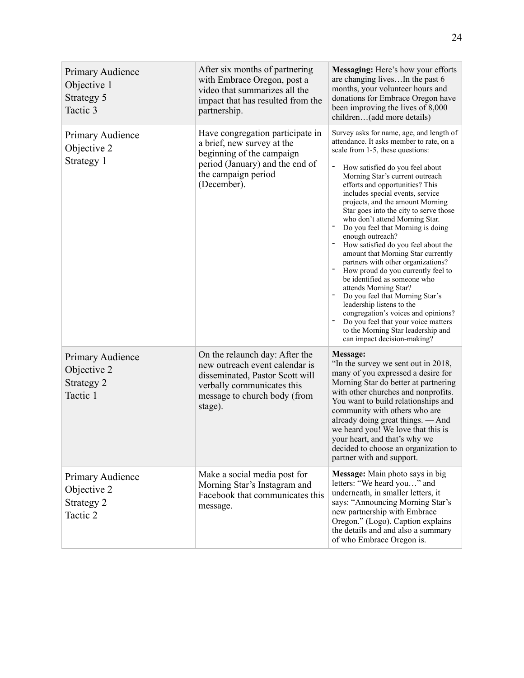| Primary Audience<br>Objective 1<br>Strategy 5<br>Tactic 3 | After six months of partnering<br>with Embrace Oregon, post a<br>video that summarizes all the<br>impact that has resulted from the<br>partnership.                          | Messaging: Here's how your efforts<br>are changing livesIn the past 6<br>months, your volunteer hours and<br>donations for Embrace Oregon have<br>been improving the lives of 8,000<br>children(add more details)                                                                                                                                                                                                                                                                                                                                                                                                                                                                                                                                                                                                                                                                   |
|-----------------------------------------------------------|------------------------------------------------------------------------------------------------------------------------------------------------------------------------------|-------------------------------------------------------------------------------------------------------------------------------------------------------------------------------------------------------------------------------------------------------------------------------------------------------------------------------------------------------------------------------------------------------------------------------------------------------------------------------------------------------------------------------------------------------------------------------------------------------------------------------------------------------------------------------------------------------------------------------------------------------------------------------------------------------------------------------------------------------------------------------------|
| Primary Audience<br>Objective 2<br>Strategy 1             | Have congregation participate in<br>a brief, new survey at the<br>beginning of the campaign<br>period (January) and the end of<br>the campaign period<br>(December).         | Survey asks for name, age, and length of<br>attendance. It asks member to rate, on a<br>scale from 1-5, these questions:<br>How satisfied do you feel about<br>Morning Star's current outreach<br>efforts and opportunities? This<br>includes special events, service<br>projects, and the amount Morning<br>Star goes into the city to serve those<br>who don't attend Morning Star.<br>Do you feel that Morning is doing<br>enough outreach?<br>How satisfied do you feel about the<br>amount that Morning Star currently<br>partners with other organizations?<br>How proud do you currently feel to<br>be identified as someone who<br>attends Morning Star?<br>Do you feel that Morning Star's<br>leadership listens to the<br>congregation's voices and opinions?<br>Do you feel that your voice matters<br>to the Morning Star leadership and<br>can impact decision-making? |
| Primary Audience<br>Objective 2<br>Strategy 2<br>Tactic 1 | On the relaunch day: After the<br>new outreach event calendar is<br>disseminated, Pastor Scott will<br>verbally communicates this<br>message to church body (from<br>stage). | Message:<br>"In the survey we sent out in 2018,<br>many of you expressed a desire for<br>Morning Star do better at partnering<br>with other churches and nonprofits.<br>You want to build relationships and<br>community with others who are<br>already doing great things. — And<br>we heard you! We love that this is<br>your heart, and that's why we<br>decided to choose an organization to<br>partner with and support.                                                                                                                                                                                                                                                                                                                                                                                                                                                       |
| Primary Audience<br>Objective 2<br>Strategy 2<br>Tactic 2 | Make a social media post for<br>Morning Star's Instagram and<br>Facebook that communicates this<br>message.                                                                  | Message: Main photo says in big<br>letters: "We heard you" and<br>underneath, in smaller letters, it<br>says: "Announcing Morning Star's<br>new partnership with Embrace<br>Oregon." (Logo). Caption explains<br>the details and and also a summary<br>of who Embrace Oregon is.                                                                                                                                                                                                                                                                                                                                                                                                                                                                                                                                                                                                    |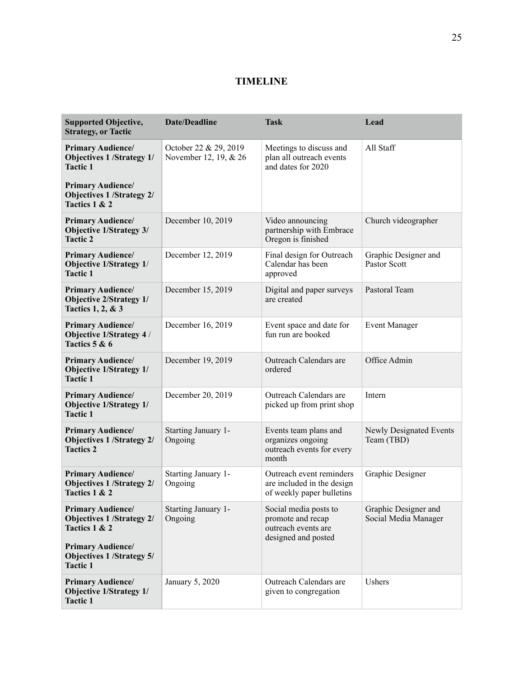#### **TIMELINE**

| <b>Supported Objective,</b><br><b>Strategy, or Tactic</b>                                                                                                      | Date/Deadline                                  | <b>Task</b>                                                                              | Lead                                         |
|----------------------------------------------------------------------------------------------------------------------------------------------------------------|------------------------------------------------|------------------------------------------------------------------------------------------|----------------------------------------------|
| <b>Primary Audience/</b><br><b>Objectives 1/Strategy 1/</b><br><b>Tactic 1</b>                                                                                 | October 22 & 29, 2019<br>November 12, 19, & 26 | Meetings to discuss and<br>plan all outreach events<br>and dates for 2020                | All Staff                                    |
| <b>Primary Audience/</b><br><b>Objectives 1/Strategy 2/</b><br>Tactics 1 & 2                                                                                   |                                                |                                                                                          |                                              |
| <b>Primary Audience/</b><br><b>Objective 1/Strategy 3/</b><br><b>Tactic 2</b>                                                                                  | December 10, 2019                              | Video announcing<br>partnership with Embrace<br>Oregon is finished                       | Church videographer                          |
| <b>Primary Audience/</b><br>Objective 1/Strategy 1/<br><b>Tactic 1</b>                                                                                         | December 12, 2019                              | Final design for Outreach<br>Calendar has been<br>approved                               | Graphic Designer and<br>Pastor Scott         |
| <b>Primary Audience/</b><br><b>Objective 2/Strategy 1/</b><br><b>Tactics 1, 2, &amp; 3</b>                                                                     | December 15, 2019                              | Digital and paper surveys<br>are created                                                 | Pastoral Team                                |
| <b>Primary Audience/</b><br>Objective 1/Strategy 4 /<br>Tactics 5 & 6                                                                                          | December 16, 2019                              | Event space and date for<br>fun run are booked                                           | <b>Event Manager</b>                         |
| <b>Primary Audience/</b><br><b>Objective 1/Strategy 1/</b><br><b>Tactic 1</b>                                                                                  | December 19, 2019                              | Outreach Calendars are<br>ordered                                                        | Office Admin                                 |
| <b>Primary Audience/</b><br><b>Objective 1/Strategy 1/</b><br><b>Tactic 1</b>                                                                                  | December 20, 2019                              | Outreach Calendars are<br>picked up from print shop                                      | Intern                                       |
| <b>Primary Audience/</b><br><b>Objectives 1/Strategy 2/</b><br><b>Tactics 2</b>                                                                                | Starting January 1-<br>Ongoing                 | Events team plans and<br>organizes ongoing<br>outreach events for every<br>month         | Newly Designated Events<br>Team (TBD)        |
| <b>Primary Audience/</b><br><b>Objectives 1/Strategy 2/</b><br>Tactics 1 & 2                                                                                   | Starting January 1-<br>Ongoing                 | Outreach event reminders<br>are included in the design<br>of weekly paper bulletins      | Graphic Designer                             |
| <b>Primary Audience/</b><br><b>Objectives 1/Strategy 2/</b><br>Tactics 1 & 2<br><b>Primary Audience/</b><br><b>Objectives 1/Strategy 5/</b><br><b>Tactic 1</b> | Starting January 1-<br>Ongoing                 | Social media posts to<br>promote and recap<br>outreach events are<br>designed and posted | Graphic Designer and<br>Social Media Manager |
| <b>Primary Audience/</b><br><b>Objective 1/Strategy 1/</b><br><b>Tactic 1</b>                                                                                  | January 5, 2020                                | Outreach Calendars are<br>given to congregation                                          | <b>Ushers</b>                                |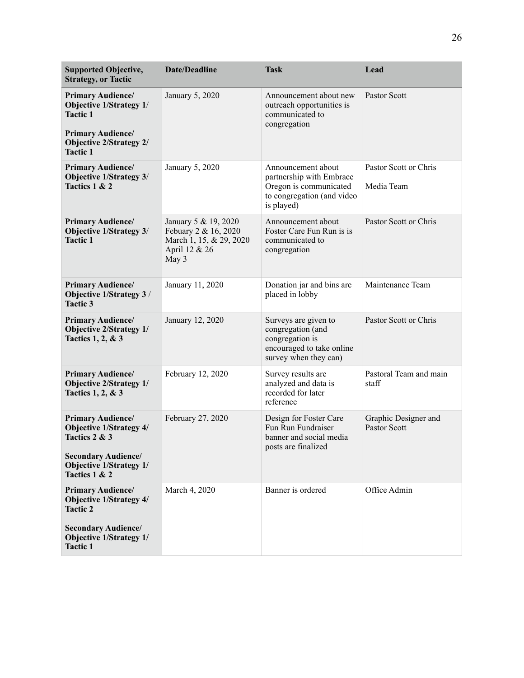| <b>Supported Objective,</b><br><b>Strategy, or Tactic</b>                                                                                                        | <b>Date/Deadline</b>                                                                              | <b>Task</b>                                                                                                          | Lead                                 |
|------------------------------------------------------------------------------------------------------------------------------------------------------------------|---------------------------------------------------------------------------------------------------|----------------------------------------------------------------------------------------------------------------------|--------------------------------------|
| <b>Primary Audience/</b><br>Objective 1/Strategy 1/<br><b>Tactic 1</b><br><b>Primary Audience/</b><br><b>Objective 2/Strategy 2/</b><br><b>Tactic 1</b>          | January 5, 2020                                                                                   | Announcement about new<br>outreach opportunities is<br>communicated to<br>congregation                               | Pastor Scott                         |
| <b>Primary Audience/</b><br>Objective 1/Strategy 3/<br>Tactics 1 & 2                                                                                             | January 5, 2020                                                                                   | Announcement about<br>partnership with Embrace<br>Oregon is communicated<br>to congregation (and video<br>is played) | Pastor Scott or Chris<br>Media Team  |
| <b>Primary Audience/</b><br>Objective 1/Strategy 3/<br><b>Tactic 1</b>                                                                                           | January 5 & 19, 2020<br>Febuary 2 & 16, 2020<br>March 1, 15, & 29, 2020<br>April 12 & 26<br>May 3 | Announcement about<br>Foster Care Fun Run is is<br>communicated to<br>congregation                                   | Pastor Scott or Chris                |
| <b>Primary Audience/</b><br>Objective 1/Strategy 3 /<br><b>Tactic 3</b>                                                                                          | January 11, 2020                                                                                  | Donation jar and bins are<br>placed in lobby                                                                         | Maintenance Team                     |
| <b>Primary Audience/</b><br><b>Objective 2/Strategy 1/</b><br>Tactics 1, 2, & 3                                                                                  | January 12, 2020                                                                                  | Surveys are given to<br>congregation (and<br>congregation is<br>encouraged to take online<br>survey when they can)   | Pastor Scott or Chris                |
| <b>Primary Audience/</b><br><b>Objective 2/Strategy 1/</b><br>Tactics 1, 2, & 3                                                                                  | February 12, 2020                                                                                 | Survey results are<br>analyzed and data is<br>recorded for later<br>reference                                        | Pastoral Team and main<br>staff      |
| <b>Primary Audience/</b><br><b>Objective 1/Strategy 4/</b><br>Tactics 2 & 3<br><b>Secondary Audience/</b><br><b>Objective 1/Strategy 1/</b><br>Tactics 1 & 2     | February 27, 2020                                                                                 | Design for Foster Care<br>Fun Run Fundraiser<br>banner and social media<br>posts are finalized                       | Graphic Designer and<br>Pastor Scott |
| <b>Primary Audience/</b><br><b>Objective 1/Strategy 4/</b><br><b>Tactic 2</b><br><b>Secondary Audience/</b><br><b>Objective 1/Strategy 1/</b><br><b>Tactic 1</b> | March 4, 2020                                                                                     | Banner is ordered                                                                                                    | Office Admin                         |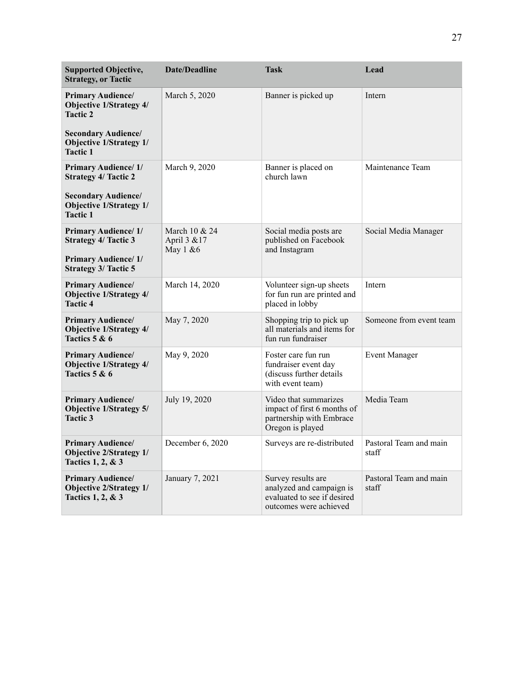| <b>Supported Objective,</b><br><b>Strategy, or Tactic</b>                                                                                     | <b>Date/Deadline</b>                      | <b>Task</b>                                                                                             | Lead                            |
|-----------------------------------------------------------------------------------------------------------------------------------------------|-------------------------------------------|---------------------------------------------------------------------------------------------------------|---------------------------------|
| <b>Primary Audience/</b><br><b>Objective 1/Strategy 4/</b><br><b>Tactic 2</b><br><b>Secondary Audience/</b><br><b>Objective 1/Strategy 1/</b> | March 5, 2020                             | Banner is picked up                                                                                     | Intern                          |
| <b>Tactic 1</b>                                                                                                                               |                                           |                                                                                                         |                                 |
| <b>Primary Audience/1/</b><br><b>Strategy 4/ Tactic 2</b><br><b>Secondary Audience/</b><br><b>Objective 1/Strategy 1/</b><br><b>Tactic 1</b>  | March 9, 2020                             | Banner is placed on<br>church lawn                                                                      | Maintenance Team                |
| <b>Primary Audience/1/</b><br><b>Strategy 4/ Tactic 3</b><br><b>Primary Audience/1/</b><br><b>Strategy 3/ Tactic 5</b>                        | March 10 & 24<br>April 3 & 17<br>May 1 &6 | Social media posts are<br>published on Facebook<br>and Instagram                                        | Social Media Manager            |
| <b>Primary Audience/</b><br><b>Objective 1/Strategy 4/</b><br><b>Tactic 4</b>                                                                 | March 14, 2020                            | Volunteer sign-up sheets<br>for fun run are printed and<br>placed in lobby                              | Intern                          |
| <b>Primary Audience/</b><br><b>Objective 1/Strategy 4/</b><br>Tactics 5 & 6                                                                   | May 7, 2020                               | Shopping trip to pick up<br>all materials and items for<br>fun run fundraiser                           | Someone from event team         |
| <b>Primary Audience/</b><br><b>Objective 1/Strategy 4/</b><br>Tactics 5 & 6                                                                   | May 9, 2020                               | Foster care fun run<br>fundraiser event day<br>(discuss further details<br>with event team)             | <b>Event Manager</b>            |
| <b>Primary Audience/</b><br><b>Objective 1/Strategy 5/</b><br><b>Tactic 3</b>                                                                 | July 19, 2020                             | Video that summarizes<br>impact of first 6 months of<br>partnership with Embrace<br>Oregon is played    | Media Team                      |
| <b>Primary Audience/</b><br><b>Objective 2/Strategy 1/</b><br>Tactics 1, 2, & 3                                                               | December 6, 2020                          | Surveys are re-distributed                                                                              | Pastoral Team and main<br>staff |
| <b>Primary Audience/</b><br><b>Objective 2/Strategy 1/</b><br>Tactics 1, 2, & 3                                                               | January 7, 2021                           | Survey results are<br>analyzed and campaign is<br>evaluated to see if desired<br>outcomes were achieved | Pastoral Team and main<br>staff |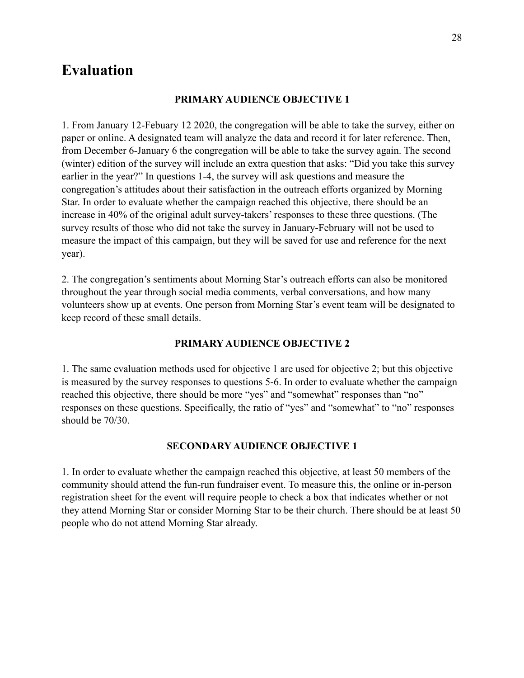### **Evaluation**

#### **PRIMARY AUDIENCE OBJECTIVE 1**

1. From January 12-Febuary 12 2020, the congregation will be able to take the survey, either on paper or online. A designated team will analyze the data and record it for later reference. Then, from December 6-January 6 the congregation will be able to take the survey again. The second (winter) edition of the survey will include an extra question that asks: "Did you take this survey earlier in the year?" In questions 1-4, the survey will ask questions and measure the congregation's attitudes about their satisfaction in the outreach efforts organized by Morning Star. In order to evaluate whether the campaign reached this objective, there should be an increase in 40% of the original adult survey-takers' responses to these three questions. (The survey results of those who did not take the survey in January-February will not be used to measure the impact of this campaign, but they will be saved for use and reference for the next year).

2. The congregation's sentiments about Morning Star's outreach efforts can also be monitored throughout the year through social media comments, verbal conversations, and how many volunteers show up at events. One person from Morning Star's event team will be designated to keep record of these small details.

#### **PRIMARY AUDIENCE OBJECTIVE 2**

1. The same evaluation methods used for objective 1 are used for objective 2; but this objective is measured by the survey responses to questions 5-6. In order to evaluate whether the campaign reached this objective, there should be more "yes" and "somewhat" responses than "no" responses on these questions. Specifically, the ratio of "yes" and "somewhat" to "no" responses should be 70/30.

#### **SECONDARY AUDIENCE OBJECTIVE 1**

1. In order to evaluate whether the campaign reached this objective, at least 50 members of the community should attend the fun-run fundraiser event. To measure this, the online or in-person registration sheet for the event will require people to check a box that indicates whether or not they attend Morning Star or consider Morning Star to be their church. There should be at least 50 people who do not attend Morning Star already.